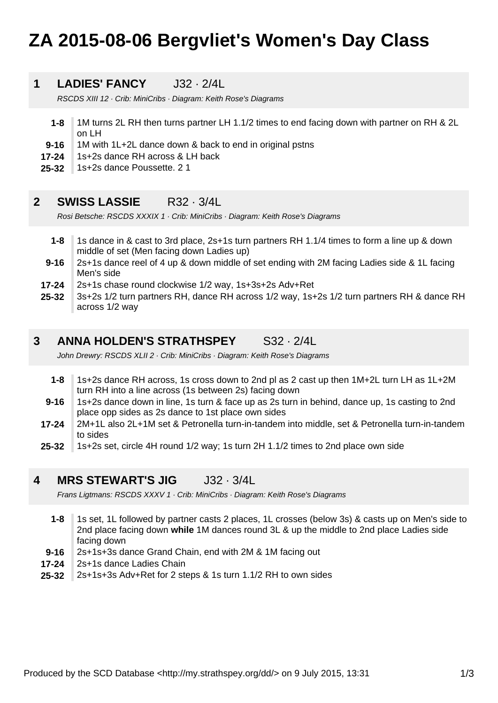# **ZA 2015-08-06 Bergvliet's Women's Day Class**

#### **1 LADIES' FANCY** J32 · 2/4L

RSCDS XIII 12 · Crib: MiniCribs · Diagram: Keith Rose's Diagrams

- **1-8** 1M turns 2L RH then turns partner LH 1.1/2 times to end facing down with partner on RH & 2L on LH
- **9-16** 1M with 1L+2L dance down & back to end in original pstns
- **17-24** 1s+2s dance RH across & LH back
- **25-32** 1s+2s dance Poussette. 2 1

### **2 SWISS LASSIE** R32 · 3/4L

Rosi Betsche: RSCDS XXXIX 1 · Crib: MiniCribs · Diagram: Keith Rose's Diagrams

- **1-8** 1s dance in & cast to 3rd place, 2s+1s turn partners RH 1.1/4 times to form a line up & down middle of set (Men facing down Ladies up)
- **9-16** 2s+1s dance reel of 4 up & down middle of set ending with 2M facing Ladies side & 1L facing Men's side
- **17-24** 2s+1s chase round clockwise 1/2 way, 1s+3s+2s Adv+Ret
- **25-32** 3s+2s 1/2 turn partners RH, dance RH across 1/2 way, 1s+2s 1/2 turn partners RH & dance RH across 1/2 way

### **3 ANNA HOLDEN'S STRATHSPEY** S32 · 2/4L

John Drewry: RSCDS XLII 2 · Crib: MiniCribs · Diagram: Keith Rose's Diagrams

- **1-8** 1s+2s dance RH across, 1s cross down to 2nd pl as 2 cast up then 1M+2L turn LH as 1L+2M turn RH into a line across (1s between 2s) facing down
- **9-16** 1s+2s dance down in line, 1s turn & face up as 2s turn in behind, dance up, 1s casting to 2nd place opp sides as 2s dance to 1st place own sides
- **17-24** 2M+1L also 2L+1M set & Petronella turn-in-tandem into middle, set & Petronella turn-in-tandem to sides
- **25-32** 1s+2s set, circle 4H round 1/2 way; 1s turn 2H 1.1/2 times to 2nd place own side

### **4 MRS STEWART'S JIG** J32 · 3/4L

Frans Ligtmans: RSCDS XXXV 1 · Crib: MiniCribs · Diagram: Keith Rose's Diagrams

- **1-8** 1s set, 1L followed by partner casts 2 places, 1L crosses (below 3s) & casts up on Men's side to 2nd place facing down **while** 1M dances round 3L & up the middle to 2nd place Ladies side facing down
- **9-16** 2s+1s+3s dance Grand Chain, end with 2M & 1M facing out
- **17-24** 2s+1s dance Ladies Chain
- **25-32** 2s+1s+3s Adv+Ret for 2 steps & 1s turn 1.1/2 RH to own sides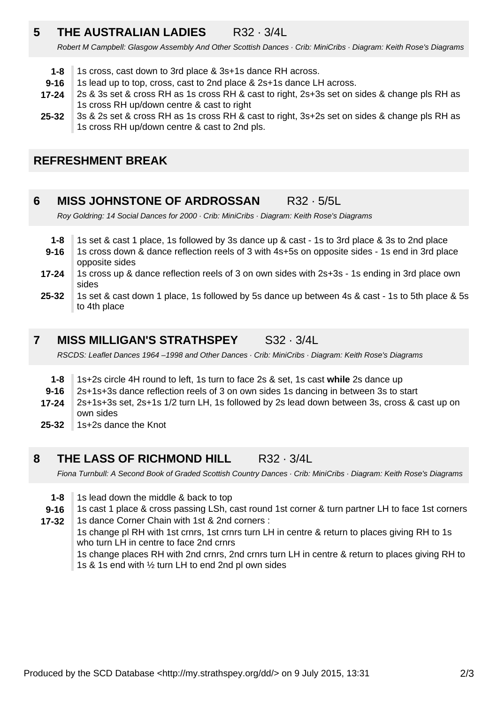### **5 THE AUSTRALIAN LADIES** R32 · 3/4L

Robert M Campbell: Glasgow Assembly And Other Scottish Dances · Crib: MiniCribs · Diagram: Keith Rose's Diagrams

- **1-8** 1s cross, cast down to 3rd place & 3s+1s dance RH across.
- **9-16** 1s lead up to top, cross, cast to 2nd place & 2s+1s dance LH across.
- **17-24** 2s & 3s set & cross RH as 1s cross RH & cast to right, 2s+3s set on sides & change pls RH as 1s cross RH up/down centre & cast to right
- **25-32** 3s & 2s set & cross RH as 1s cross RH & cast to right, 3s+2s set on sides & change pls RH as 1s cross RH up/down centre & cast to 2nd pls.

### **REFRESHMENT BREAK**

### **6 MISS JOHNSTONE OF ARDROSSAN** R32 · 5/5L

Roy Goldring: 14 Social Dances for 2000 · Crib: MiniCribs · Diagram: Keith Rose's Diagrams

- **1-8** 1s set & cast 1 place, 1s followed by 3s dance up & cast - 1s to 3rd place & 3s to 2nd place
- **9-16** 1s cross down & dance reflection reels of 3 with 4s+5s on opposite sides - 1s end in 3rd place opposite sides
- **17-24** 1s cross up & dance reflection reels of 3 on own sides with 2s+3s - 1s ending in 3rd place own sides
- **25-32** 1s set & cast down 1 place, 1s followed by 5s dance up between 4s & cast - 1s to 5th place & 5s to 4th place

### **7 MISS MILLIGAN'S STRATHSPEY** S32 · 3/4L

RSCDS: Leaflet Dances 1964 –1998 and Other Dances · Crib: MiniCribs · Diagram: Keith Rose's Diagrams

- **1-8** 1s+2s circle 4H round to left, 1s turn to face 2s & set, 1s cast **while** 2s dance up
- **9-16** 2s+1s+3s dance reflection reels of 3 on own sides 1s dancing in between 3s to start
- **17-24** 2s+1s+3s set, 2s+1s 1/2 turn LH, 1s followed by 2s lead down between 3s, cross & cast up on own sides
- **25-32** 1s+2s dance the Knot
- **8 THE LASS OF RICHMOND HILL** R32 · 3/4L

Fiona Turnbull: A Second Book of Graded Scottish Country Dances · Crib: MiniCribs · Diagram: Keith Rose's Diagrams

- **1-8** 1s lead down the middle & back to top
- **9-16** 1s cast 1 place & cross passing LSh, cast round 1st corner & turn partner LH to face 1st corners

**17-32** 1s dance Corner Chain with 1st & 2nd corners : 1s change pl RH with 1st crnrs, 1st crnrs turn LH in centre & return to places giving RH to 1s who turn LH in centre to face 2nd crnrs 1s change places RH with 2nd crnrs, 2nd crnrs turn LH in centre & return to places giving RH to 1s & 1s end with ½ turn LH to end 2nd pl own sides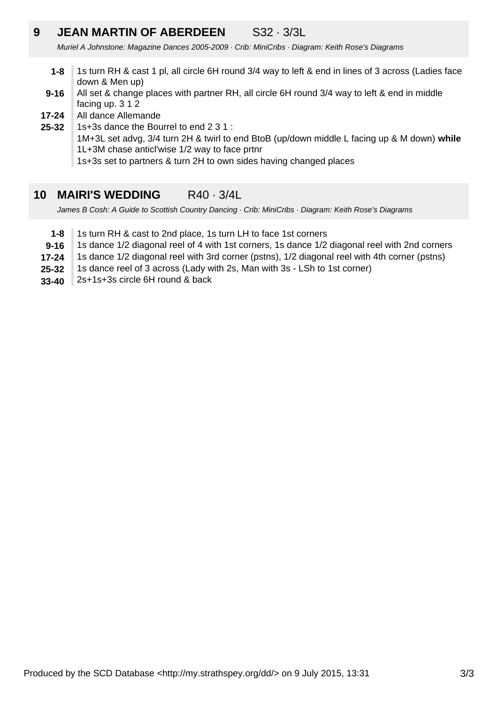### **9 JEAN MARTIN OF ABERDEEN** S32 · 3/3L

Muriel A Johnstone: Magazine Dances 2005-2009 · Crib: MiniCribs · Diagram: Keith Rose's Diagrams

- **1-8** 1s turn RH & cast 1 pl, all circle 6H round 3/4 way to left & end in lines of 3 across (Ladies face down & Men up)
- **9-16** All set & change places with partner RH, all circle 6H round 3/4 way to left & end in middle facing up. 3 1 2
- **17-24** All dance Allemande
- **25-32** 1s+3s dance the Bourrel to end 2 3 1 :

1M+3L set advg, 3/4 turn 2H & twirl to end BtoB (up/down middle L facing up & M down) **while** 1L+3M chase anticl'wise 1/2 way to face prtnr

1s+3s set to partners & turn 2H to own sides having changed places

### **10 MAIRI'S WEDDING** R40 · 3/4L

James B Cosh: A Guide to Scottish Country Dancing · Crib: MiniCribs · Diagram: Keith Rose's Diagrams

- **1-8** 1s turn RH & cast to 2nd place, 1s turn LH to face 1st corners
- **9-16** 1s dance 1/2 diagonal reel of 4 with 1st corners, 1s dance 1/2 diagonal reel with 2nd corners
- **17-24** 1s dance 1/2 diagonal reel with 3rd corner (pstns), 1/2 diagonal reel with 4th corner (pstns)
- **25-32** 1s dance reel of 3 across (Lady with 2s, Man with 3s - LSh to 1st corner)
- **33-40** 2s+1s+3s circle 6H round & back